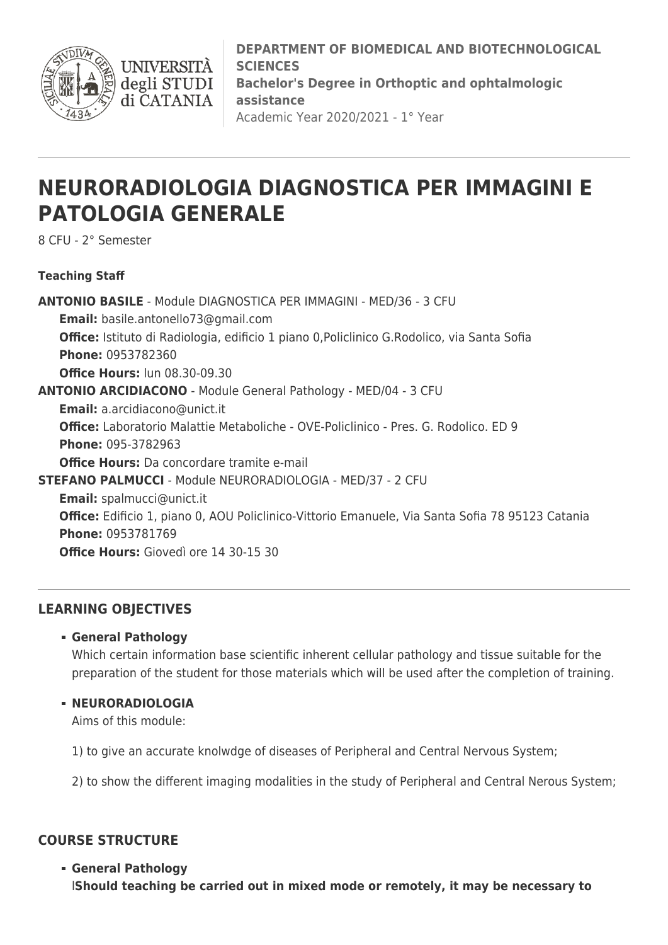

**DEPARTMENT OF BIOMEDICAL AND BIOTECHNOLOGICAL SCIENCES Bachelor's Degree in Orthoptic and ophtalmologic assistance** Academic Year 2020/2021 - 1° Year

# **NEURORADIOLOGIA DIAGNOSTICA PER IMMAGINI E PATOLOGIA GENERALE**

8 CFU - 2° Semester

## **Teaching Staff**

**ANTONIO BASILE** - Module DIAGNOSTICA PER IMMAGINI - MED/36 - 3 CFU **Email:** [basile.antonello73@gmail.com](mailto:basile.antonello73@gmail.com) **Office:** Istituto di Radiologia, edificio 1 piano 0,Policlinico G.Rodolico, via Santa Sofia **Phone:** 0953782360 **Office Hours:** lun 08.30-09.30 **ANTONIO ARCIDIACONO** - Module General Pathology - MED/04 - 3 CFU **Email:** [a.arcidiacono@unict.it](mailto:a.arcidiacono@unict.it) **Office:** Laboratorio Malattie Metaboliche - OVE-Policlinico - Pres. G. Rodolico. ED 9 **Phone:** 095-3782963 **Office Hours:** Da concordare tramite e-mail **STEFANO PALMUCCI** - Module NEURORADIOLOGIA - MED/37 - 2 CFU **Email:** [spalmucci@unict.it](mailto:spalmucci@unict.it) **Office:** Edificio 1, piano 0, AOU Policlinico-Vittorio Emanuele, Via Santa Sofia 78 95123 Catania **Phone:** 0953781769 **Office Hours:** Giovedì ore 14 30-15 30

## **LEARNING OBJECTIVES**

### **General Pathology**

Which certain information base scientific inherent cellular pathology and tissue suitable for the preparation of the student for those materials which will be used after the completion of training.

### **NEURORADIOLOGIA**

Aims of this module:

1) to give an accurate knolwdge of diseases of Peripheral and Central Nervous System;

2) to show the different imaging modalities in the study of Peripheral and Central Nerous System;

## **COURSE STRUCTURE**

**General Pathology** l**Should teaching be carried out in mixed mode or remotely, it may be necessary to**